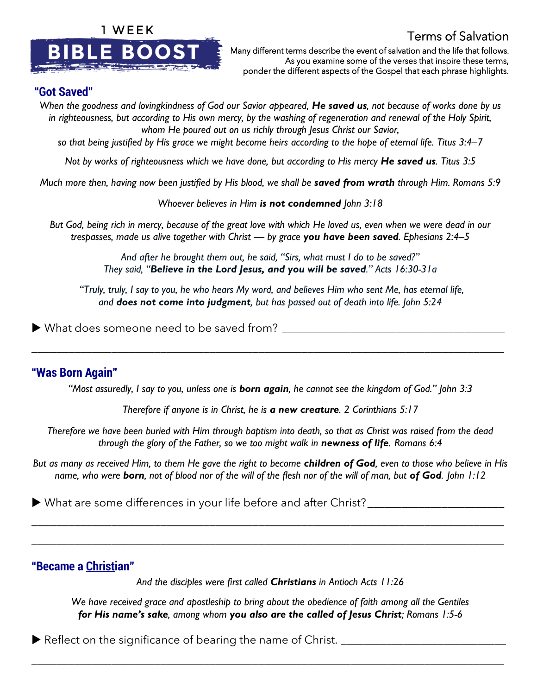

Terms of Salvation

Many different terms describe the event of salvation and the life that follows. As you examine some of the verses that inspire these terms, ponder the different aspects of the Gospel that each phrase highlights.

#### **"Got Saved"**

*When the goodness and lovingkindness of God our Savior appeared, He saved us, not because of works done by us in righteousness, but according to His own mercy, by the washing of regeneration and renewal of the Holy Spirit, whom He poured out on us richly through Jesus Christ our Savior,* 

*so that being justified by His grace we might become heirs according to the hope of eternal life. Titus 3:4–7*

*Not by works of righteousness which we have done, but according to His mercy He saved us. Titus 3:5*

*Much more then, having now been justified by His blood, we shall be saved from wrath through Him. Romans 5:9*

*Whoever believes in Him is not condemned John 3:18*

*But God, being rich in mercy, because of the great love with which He loved us, even when we were dead in our trespasses, made us alive together with Christ — by grace you have been saved. Ephesians 2:4–5*

> *And after he brought them out, he said, "Sirs, what must I do to be saved?" They said, "Believe in the Lord Jesus, and you will be saved." Acts 16:30-31a*

*"Truly, truly, I say to you, he who hears My word, and believes Him who sent Me, has eternal life, and does not come into judgment, but has passed out of death into life. John 5:24*

 $\blacktriangleright$  What does someone need to be saved from?

# **"Was Born Again"**

*"Most assuredly, I say to you, unless one is born again, he cannot see the kingdom of God." John 3:3*

\_\_\_\_\_\_\_\_\_\_\_\_\_\_\_\_\_\_\_\_\_\_\_\_\_\_\_\_\_\_\_\_\_\_\_\_\_\_\_\_\_\_\_\_\_\_\_\_\_\_\_\_\_\_\_\_\_\_\_\_\_\_\_\_\_\_\_\_\_\_\_\_\_\_\_\_\_

*Therefore if anyone is in Christ, he is a new creature. 2 Corinthians 5:17*

*Therefore we have been buried with Him through baptism into death, so that as Christ was raised from the dead through the glory of the Father, so we too might walk in newness of life. Romans 6:4*

*But as many as received Him, to them He gave the right to become children of God, even to those who believe in His name, who were born, not of blood nor of the will of the flesh nor of the will of man, but of God. John 1:12* 

\_\_\_\_\_\_\_\_\_\_\_\_\_\_\_\_\_\_\_\_\_\_\_\_\_\_\_\_\_\_\_\_\_\_\_\_\_\_\_\_\_\_\_\_\_\_\_\_\_\_\_\_\_\_\_\_\_\_\_\_\_\_\_\_\_\_\_\_\_\_\_\_\_\_\_\_\_

\_\_\_\_\_\_\_\_\_\_\_\_\_\_\_\_\_\_\_\_\_\_\_\_\_\_\_\_\_\_\_\_\_\_\_\_\_\_\_\_\_\_\_\_\_\_\_\_\_\_\_\_\_\_\_\_\_\_\_\_\_\_\_\_\_\_\_\_\_\_\_\_\_\_\_\_\_

What are some differences in your life before and after Christ?\_\_\_\_\_\_\_\_\_\_\_\_\_\_\_\_\_\_\_\_\_\_\_\_

# **"Became a Christian"**

*And the disciples were first called Christians in Antioch Acts 11:26*

*We have received grace and apostleship to bring about the obedience of faith among all the Gentiles for His name's sake, among whom you also are the called of Jesus Christ; Romans 1:5-6*

\_\_\_\_\_\_\_\_\_\_\_\_\_\_\_\_\_\_\_\_\_\_\_\_\_\_\_\_\_\_\_\_\_\_\_\_\_\_\_\_\_\_\_\_\_\_\_\_\_\_\_\_\_\_\_\_\_\_\_\_\_\_\_\_\_\_\_\_\_\_\_\_\_\_\_\_\_

Reflect on the significance of bearing the name of Christ.